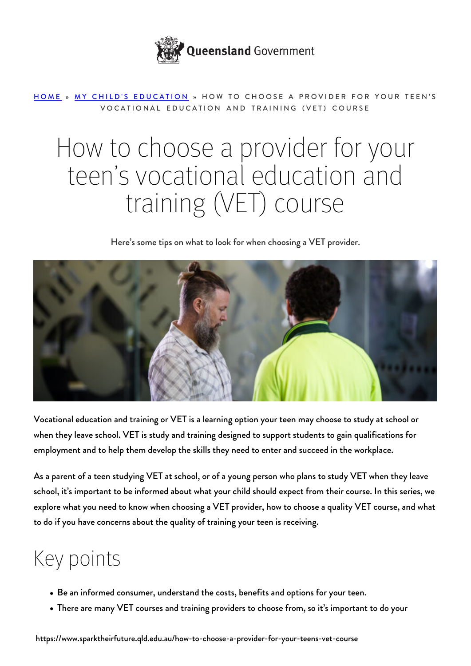

#### [HOME](https://www.sparktheirfuture.qld.edu.au/) » [MY CHILD'S EDUCATION](https://www.sparktheirfuture.qld.edu.au/category/my-childs-school/) » HOW TO CHOOSE A PROVIDER FOR YOUR TEEN'S VOCATIONAL EDUCATION AND TRAINING (VET) COURSE

# How to choose a provider for your teen's vocational education and training (VET) course

Here's some tips on what to look for when choosing a VET provider.



Vocational education and training or VET is a learning option your teen may choose to study at school or when they leave school. VET is study and training designed to support students to gain qualifications for employment and to help them develop the skills they need to enter and succeed in the workplace.

As a parent of a teen studying VET at school, or of a young person who plans to study VET when they leave school, it's important to be informed about what your child should expect from their course. In this series, we explore what you need to know when choosing a VET provider, [how to choose a quality VET course,](https://www.sparktheirfuture.qld.edu.au/how-to-choose-a-quality-vocational-education-and-training-vet-course/) and what to do if you have [concerns about the quality of training](https://www.sparktheirfuture.qld.edu.au/what-to-do-if-you-have-concerns-about-the-quality-of-your-teens-training/) your teen is receiving.

## Key points

- Be an informed consumer, understand the costs, benefits and options for your teen.
- There are many VET courses and training providers to choose from, so it's important to do your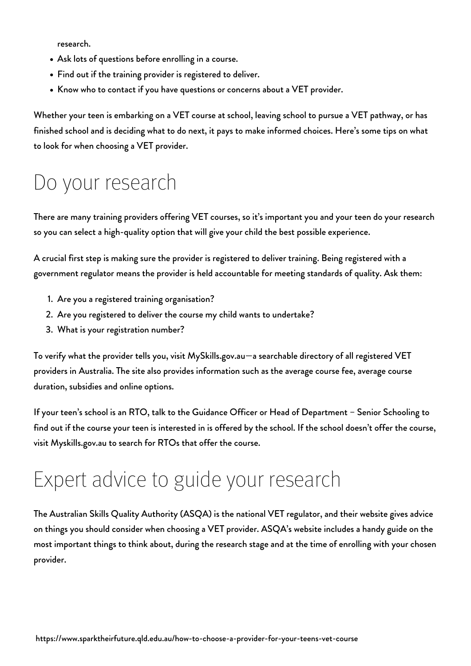research.

- Ask lots of questions before enrolling in a course.
- Find out if the training provider is registered to deliver.
- Know who to contact if you have questions or concerns about a VET provider.

Whether your teen is embarking on a VET course at school, leaving school to pursue a VET pathway, or has finished school and is deciding what to do next, it pays to make informed choices. Here's some tips on what to look for when choosing a VET provider.

#### Do your research

There are many training providers offering VET courses, so it's important you and your teen do your research so you can select a high-quality option that will give your child the best possible experience.

A crucial first step is making sure the provider is registered to deliver training. Being registered with a government regulator means the provider is held accountable for meeting standards of quality. Ask them:

- 1. Are you a registered training organisation?
- 2. Are you registered to deliver the course my child wants to undertake?
- 3. What is your registration number?

To verify what the provider tells you, visit [MySkills.gov.au](https://www.myskills.gov.au/)—a searchable directory of all registered VET providers in Australia. The site also provides information such as the average course fee, average course duration, subsidies and online options.

If your teen's school is an RTO, talk to the Guidance Officer or Head of Department – Senior Schooling to find out if the course your teen is interested in is offered by the school. If the school doesn't offer the course, visit [Myskills.gov.au](https://www.myskills.gov.au/) to search for RTOs that offer the course.

## Expert advice to guide your research

The Australian Skills Quality Authority (ASQA) is the national VET regulator, and their website gives advice on things you should consider when [choosing a VET provider.](https://www.asqa.gov.au/students/choosing-provider) ASQA's website includes a handy guide on the most important things to think about, during the research stage and at the time of enrolling with your chosen provider.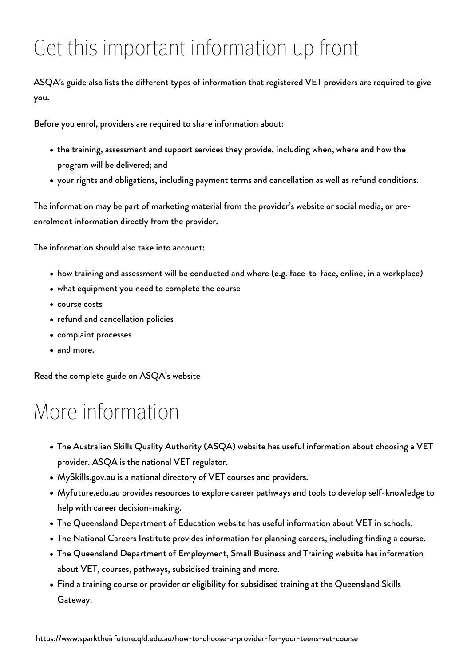## Get this important information up front

#### ASQA's guide also lists the different types of information that registered VET providers are required to give you.

Before you enrol, providers are required to share information about:

- the training, assessment and support services they provide, including when, where and how the program will be delivered; and
- your rights and obligations, including payment terms and cancellation as well as refund conditions.

The information may be part of marketing material from the provider's website or social media, or preenrolment information directly from the provider.

The information should also take into account:

- how training and assessment will be conducted and where (e.g. face-to-face, online, in a workplace)
- what equipment you need to complete the course
- course costs
- refund and cancellation policies
- complaint processes
- and more.

[Read the complete guide on ASQA's website](https://www.asqa.gov.au/students/choosing-provider)

#### More information

- [The Australian Skills Quality Authority \(ASQA\) website](https://www.asqa.gov.au/students/courses-and-providers) has useful information about choosing a VET provider. ASQA is the national VET regulator.
- [MySkills.gov.au](https://www.myskills.gov.au/) is a national directory of VET courses and providers.
- [Myfuture.edu.au](https://myfuture.edu.au/) provides resources to explore career pathways and tools to develop self-knowledge to help with career decision-making.
- [The Queensland Department of Education website](https://education.qld.gov.au/careers/apprentices-and-trainees/vet-in-school) has useful information about VET in schools.
- [The National Careers Institute](https://nci.dese.gov.au/) provides information for planning careers, including finding a course.
- The [Queensland Department of Employment, Small Business and Training](https://desbt.qld.gov.au/training/training-careers) website has information about VET, courses, pathways, subsidised training and more.
- Find a training course or provider or eligibility for subsidised training at the [Queensland Skills](http://skillsgateway.training.qld.gov.au/) [Gateway.](http://skillsgateway.training.qld.gov.au/)